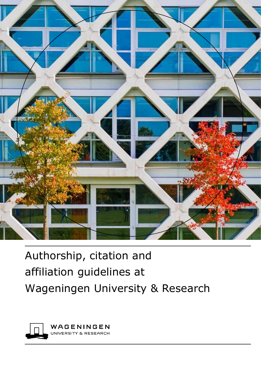

# Authorship, citation and affiliation guidelines at Wageningen University & Research

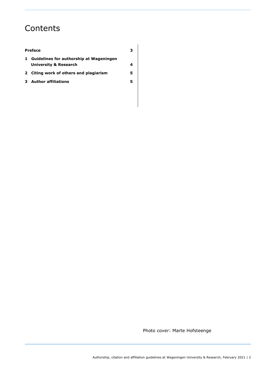# **Contents**

#### **[Preface](#page-2-0) 3**

|  | 1 Guidelines for authorship at Wageningen |  |
|--|-------------------------------------------|--|
|  | University & Research                     |  |

- **2 [Citing work of others and plagiarism](#page-4-0) 5**
- **3 [Author affiliations](#page-4-1) 5**

Photo cover: Marte Hofsteenge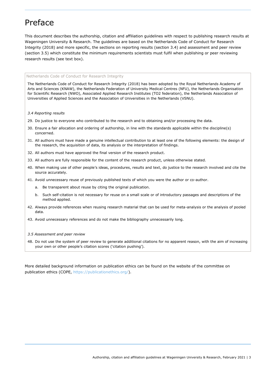# <span id="page-2-0"></span>Preface

This document describes the authorship, citation and affiliation guidelines with respect to publishing research results at Wageningen University & Research. The guidelines are based on the Netherlands Code of Conduct for Research Integrity (2018) and more specific, the sections on reporting results (section 3.4) and assessment and peer review (section 3.5) which constitute the minimum requirements scientists must fulfil when publishing or peer reviewing research results (see text box).

#### Netherlands Code of Conduct for Research Integrity

The Netherlands Code of Conduct for Research Integrity (2018) has been adopted by the Royal Netherlands Academy of Arts and Sciences (KNAW), the Netherlands Federation of University Medical Centres (NFU), the Netherlands Organisation for Scientific Research (NWO), Associated Applied Research Institutes (TO2 federation), the Netherlands Association of Universities of Applied Sciences and the Association of Universities in the Netherlands (VSNU).

#### *3.4 Reporting results*

- 29. Do justice to everyone who contributed to the research and to obtaining and/or processing the data.
- 30. Ensure a fair allocation and ordering of authorship, in line with the standards applicable within the discipline(s) concerned.
- 31. All authors must have made a genuine intellectual contribution to at least one of the following elements: the design of the research, the acquisition of data, its analysis or the interpretation of findings.
- 32. All authors must have approved the final version of the research product.
- 33. All authors are fully responsible for the content of the research product, unless otherwise stated.
- 40. When making use of other people's ideas, procedures, results and text, do justice to the research involved and cite the source accurately.
- 41. Avoid unnecessary reuse of previously published texts of which you were the author or co-author.
	- a. Be transparent about reuse by citing the original publication.
	- b. Such self-citation is not necessary for reuse on a small scale or of introductory passages and descriptions of the method applied.
- 42. Always provide references when reusing research material that can be used for meta-analysis or the analysis of pooled data.
- 43. Avoid unnecessary references and do not make the bibliography unnecessarily long.
- *3.5 Assessment and peer review*
- 48. Do not use the system of peer review to generate additional citations for no apparent reason, with the aim of increasing your own or other people's citation scores ('citation pushing').

<span id="page-2-1"></span>More detailed background information on publication ethics can be found on the website of the committee on publication ethics (COPE, [https://publicationethics.org/\)](https://publicationethics.org/).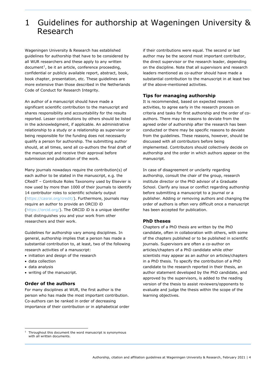### 1 Guidelines for authorship at Wageningen University & Research

Wageningen University & Research has established guidelines for authorship that have to be considered by all WUR researchers and these apply to any written document<sup>1</sup>, be it an article, conference proceeding, confidential or publicly available report, abstract, book, book chapter, presentation, etc. These guidelines are more extensive than those described in the Netherlands Code of Conduct for Research Integrity.

An author of a manuscript should have made a significant scientific contribution to the manuscript and shares responsibility and accountability for the results reported. Lesser contributions by others should be listed in the acknowledgment, if applicable. An administrative relationship to a study or a relationship as supervisor or being responsible for the funding does not necessarily qualify a person for authorship. The submitting author should, at all times, send all co-authors the final draft of the manuscript and receive their approval before submission and publication of the work.

Many journals nowadays require the contribution(s) of each author to be stated in the manuscript, e.g. the CRediT – Contribute Roles Taxonomy used by Elsevier is now used by more than 1000 of their journals to identify 14 contributor roles to scientific scholarly output [\(https://casrai.org/credit/\)](https://casrai.org/credit/). Furthermore, journals may require an author to provide an ORCID iD [\(https://orcid.org/\)](https://orcid.org/). The [ORCID iD](https://orcid.org/) is a unique identifier that distinguishes you and your work from other researchers and their work.

Guidelines for authorship vary among disciplines. In general, authorship implies that a person has made a substantial contribution to, at least, two of the following research activities of a manuscript:

- initiation and design of the research
- data collection
- data analysis
- writing of the manuscript.

### **Order of the authors**

For many disciplines at WUR, the first author is the person who has made the most important contribution. Co-authors can be ranked in order of decreasing importance of their contribution or in alphabetical order if their contributions were equal. The second or last author may be the second most important contributor, the direct supervisor or the research leader, depending on the discipline. Note that all supervisors and research leaders mentioned as co-author should have made a substantial contribution to the manuscript in at least two of the above-mentioned activities.

### **Tips for managing authorship**

It is recommended, based on expected research activities, to agree early in the research process on criteria and tasks for first authorship and the order of coauthors. There may be reasons to deviate from the agreed order of authorship after the research has been conducted or there may be specific reasons to deviate from the guidelines. These reasons, however, should be discussed with all contributors before being implemented. Contributors should collectively decide on authorship and the order in which authors appear on the manuscript.

In case of disagreement or unclarity regarding authorship, consult the chair of the group, research institute director or the PhD advisor of a Graduate School. Clarify any issue or conflict regarding authorship before submitting a manuscript to a journal or a publisher. Adding or removing authors and changing the order of authors is often very difficult once a manuscript has been accepted for publication.

### **PhD theses**

Chapters of a PhD thesis are written by the PhD candidate, often in collaboration with others, with some of the chapters published or to be published in scientific journals. Supervisors are often a co-author on articles/chapters of a PhD candidate while other scientists may appear as an author on articles/chapters in a PhD thesis. To specify the contribution of a PhD candidate to the research reported in their thesis, an author statement developed by the PhD candidate, and approved by the supervisors, is added to the reading version of the thesis to assist reviewers/opponents to evaluate and judge the thesis within the scope of the learning objectives.

<sup>1</sup> Throughout this document the word manuscript is synonymous with all written documents.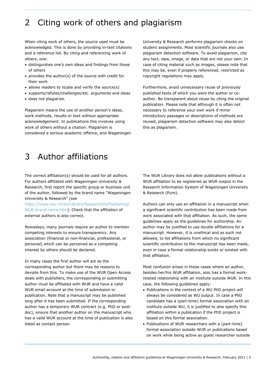# <span id="page-4-0"></span>2 Citing work of others and plagiarism

When citing work of others, the source used must be acknowledged. This is done by providing in-text citations and a reference list. By citing and referencing work of others, one:

- distinguishes one's own ideas and findings from those of others
- provides the author(s) of the source with credit for their work
- allows readers to locate and verify the source(s)
- supports/refutes/challenges/etc. arguments and ideas
- does not plagiarize.

Plagiarism means the use of another person's ideas, work methods, results or text without appropriate acknowledgement. In publications this involves using work of others without a citation. Plagiarism is considered a serious academic offence, and Wageningen University & Research performs plagiarism checks on student assignments. Most scientific journals also use plagiarism detection software. To avoid plagiarism, cite any text, idea, image, or data that are not your own. In case of citing material such as images, please note that this may be, even if properly referenced, restricted as copyright regulations may apply.

Furthermore, avoid unnecessary reuse of previously published texts of which you were the author or coauthor. Be transparent about reuse by citing the original publication. Please note that although it is often not necessary to reference your own work if minor introductory passages or descriptions of methods are reused, plagiarism detection software may also detect this as plagiarism.

# <span id="page-4-1"></span>3 Author affiliations

The correct affiliation(s) should be used for all authors. For authors affiliated with Wageningen University & Research, first report the specific group or business unit of the author, followed by the brand name "Wageningen University & Research" (see

[https://www.wur.nl/en/Library/Researchers/Publishing/](https://www.wur.nl/en/Library/Researchers/Publishing/WUR-brand-name.htm) [WUR-brand-name.htm\)](https://www.wur.nl/en/Library/Researchers/Publishing/WUR-brand-name.htm). Check that the affiliation of external authors is also correct.

Nowadays, many journals require an author to mention competing interests to ensure transparency. Any association (financial or non-financial, professional, or personal) which can be perceived as a competing interest by others should be declared.

In many cases the first author will act as the corresponding author but there may be reasons to deviate from this. To make use of the WUR Open Access deals with publishers, the corresponding or submitting author must be affiliated with WUR and have a valid WUR email account at the time of submission or publication. Note that a manuscript may be published long after it has been submitted. If the corresponding author has a temporary WUR contract (e.g. PhD or postdoc), ensure that another author on the manuscript who has a valid WUR account at the time of publication is also listed as contact person.

The WUR Library does not allow publications without a WUR affiliation to be registered as WUR output in the Research Information System of Wageningen University & Research (Pure).

Authors can only use an affiliation in a manuscript when a significant scientific contribution has been made from work associated with that affiliation. As such, the same guidelines apply as the guidelines for authorship. An author may be justified to use double affiliations for a manuscript. However, it is unethical and as such not allowed, to list affiliations from which no significant scientific contribution to the manuscript has been made, even in case a formal relationship exists or existed with that affiliation.

Most confusion arises in those cases where an author, besides her/his WUR affiliation, also has a formal workrelated relationship with an institute outside WUR. In this case, the following guidelines apply:

- Publications in the context of a WU PhD project will always be considered as WU output. In case a PhD candidate has a (part-time) formal association with an institute outside WU, it is justified to also specify this affiliation within a publication if the PhD project is based on this formal association.
- Publications of WUR researchers with a (part-time) formal association outside WUR or publications based on work while being active as guest researcher outside